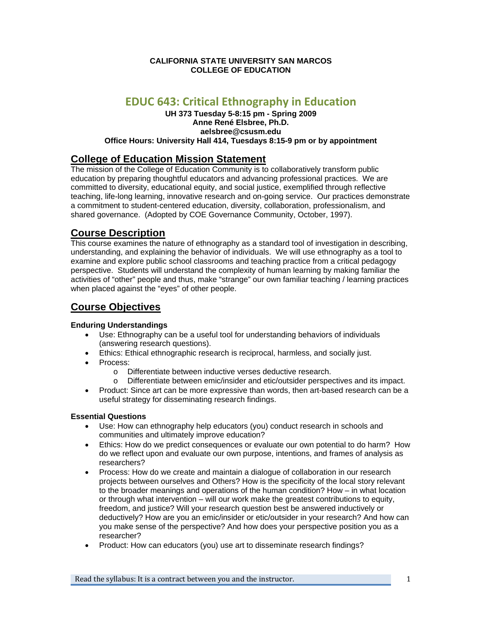## **CALIFORNIA STATE UNIVERSITY SAN MARCOS COLLEGE OF EDUCATION**

# **EDUC 643: Critical Ethnography in Education**

## **UH 373 Tuesday 5-8:15 pm - Spring 2009 Anne René Elsbree, Ph.D. aelsbree@csusm.edu Office Hours: University Hall 414, Tuesdays 8:15-9 pm or by appointment**

# **College of Education Mission Statement**

The mission of the College of Education Community is to collaboratively transform public education by preparing thoughtful educators and advancing professional practices. We are committed to diversity, educational equity, and social justice, exemplified through reflective teaching, life-long learning, innovative research and on-going service. Our practices demonstrate a commitment to student-centered education, diversity, collaboration, professionalism, and shared governance. (Adopted by COE Governance Community, October, 1997).

# **Course Description**

This course examines the nature of ethnography as a standard tool of investigation in describing, understanding, and explaining the behavior of individuals. We will use ethnography as a tool to examine and explore public school classrooms and teaching practice from a critical pedagogy perspective. Students will understand the complexity of human learning by making familiar the activities of "other" people and thus, make "strange" our own familiar teaching / learning practices when placed against the "eyes" of other people.

# **Course Objectives**

## **Enduring Understandings**

- Use: Ethnography can be a useful tool for understanding behaviors of individuals (answering research questions).
- Ethics: Ethical ethnographic research is reciprocal, harmless, and socially just.
- Process:
	- o Differentiate between inductive verses deductive research.
	- o Differentiate between emic/insider and etic/outsider perspectives and its impact.
- Product: Since art can be more expressive than words, then art-based research can be a useful strategy for disseminating research findings.

## **Essential Questions**

- Use: How can ethnography help educators (you) conduct research in schools and communities and ultimately improve education?
- Ethics: How do we predict consequences or evaluate our own potential to do harm? How do we reflect upon and evaluate our own purpose, intentions, and frames of analysis as researchers?
- Process: How do we create and maintain a dialogue of collaboration in our research projects between ourselves and Others? How is the specificity of the local story relevant to the broader meanings and operations of the human condition? How – in what location or through what intervention – will our work make the greatest contributions to equity, freedom, and justice? Will your research question best be answered inductively or deductively? How are you an emic/insider or etic/outsider in your research? And how can you make sense of the perspective? And how does your perspective position you as a researcher?
- Product: How can educators (you) use art to disseminate research findings?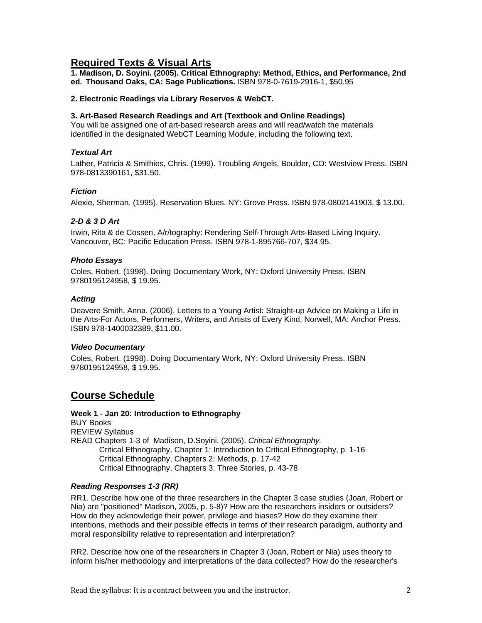## **Required Texts & Visual Arts**

 **ed. Thousand Oaks, CA: Sage Publications.** ISBN 978-0-7619-2916-1, \$50.95 **1. Madison, D. Soyini. (2005). Critical Ethnography: Method, Ethics, and Performance, 2nd** 

## **2. Electronic Readings via Library Reserves & WebCT.**

## **3. Art-Based Research Readings and Art (Textbook and Online Readings)**

You will be assigned one of art-based research areas and will read/watch the materials identified in the designated WebCT Learning Module, including the following text.

## *Textual Art*

Lather, Patricia & Smithies, Chris. (1999). Troubling Angels, Boulder, CO: Westview Press. ISBN 978-0813390161, \$31.50.

## *Fiction*

Alexie, Sherman. (1995). Reservation Blues. NY: Grove Press. ISBN 978-0802141903, \$ 13.00.

## *2-D & 3 D Art*

Irwin, Rita & de Cossen, A/r/tography: Rendering Self-Through Arts-Based Living Inquiry. Vancouver, BC: Pacific Education Press. ISBN 978-1-895766-707, \$34.95.

## *Photo Essays*

Coles, Robert. (1998). Doing Documentary Work, NY: Oxford University Press. ISBN 9780195124958, \$ 19.95.

## *Acting*

Deavere Smith, Anna. (2006). Letters to a Young Artist: Straight-up Advice on Making a Life in the Arts-For Actors, Performers, Writers, and Artists of Every Kind, Norwell, MA: Anchor Press. ISBN 978-1400032389, \$11.00.

## *Video Documentary*

Coles, Robert. (1998). Doing Documentary Work, NY: Oxford University Press. ISBN 9780195124958, \$ 19.95.

# **Course Schedule**

**BUY Books Week 1 - Jan 20: Introduction to Ethnography**  REVIEW Syllabus READ Chapters 1-3 of Madison, D.Soyini. (2005). *Critical Ethnography.*  Critical Ethnography, Chapter 1: Introduction to Critical Ethnography, p. 1-16 Critical Ethnography, Chapters 2: Methods, p. 17-42 Critical Ethnography, Chapters 3: Three Stories, p. 43-78

## *Reading Responses 1-3 (RR)*

RR1. Describe how one of the three researchers in the Chapter 3 case studies (Joan, Robert or Nia) are "positioned" Madison, 2005, p. 5-8)? How are the researchers insiders or outsiders? How do they acknowledge their power, privilege and biases? How do they examine their intentions, methods and their possible effects in terms of their research paradigm, authority and moral responsibility relative to representation and interpretation?

RR2. Describe how one of the researchers in Chapter 3 (Joan, Robert or Nia) uses theory to inform his/her methodology and interpretations of the data collected? How do the researcher's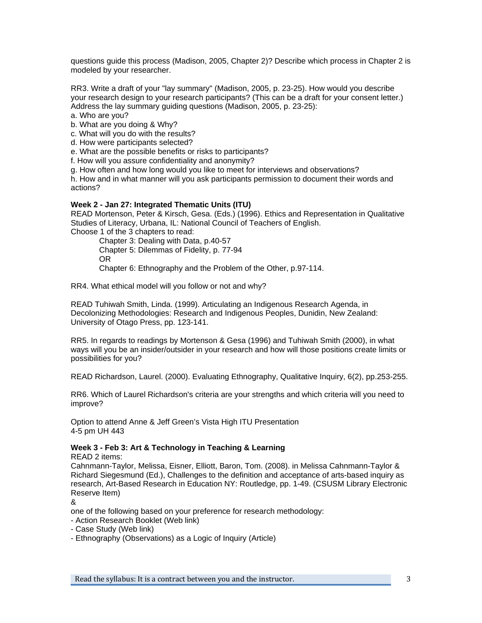questions guide this process (Madison, 2005, Chapter 2)? Describe which process in Chapter 2 is modeled by your researcher.

RR3. Write a draft of your "lay summary" (Madison, 2005, p. 23-25). How would you describe your research design to your research participants? (This can be a draft for your consent letter.) Address the lay summary guiding questions (Madison, 2005, p. 23-25):

a. Who are you?

b. What are you doing & Why?

c. What will you do with the results?

d. How were participants selected?

e. What are the possible benefits or risks to participants?

f. How will you assure confidentiality and anonymity?

g. How often and how long would you like to meet for interviews and observations?

h. How and in what manner will you ask participants permission to document their words and actions?

## **Week 2 - Jan 27: Integrated Thematic Units (ITU)**

READ Mortenson, Peter & Kirsch, Gesa. (Eds.) (1996). Ethics and Representation in Qualitative Studies of Literacy, Urbana, IL: National Council of Teachers of English.

Choose 1 of the 3 chapters to read:

Chapter 3: Dealing with Data, p.40-57 Chapter 5: Dilemmas of Fidelity, p. 77-94 OR Chapter 6: Ethnography and the Problem of the Other, p.97-114.

RR4. What ethical model will you follow or not and why?

READ Tuhiwah Smith, Linda. (1999). Articulating an Indigenous Research Agenda, in Decolonizing Methodologies: Research and Indigenous Peoples, Dunidin, New Zealand: University of Otago Press, pp. 123-141.

RR5. In regards to readings by Mortenson & Gesa (1996) and Tuhiwah Smith (2000), in what ways will you be an insider/outsider in your research and how will those positions create limits or possibilities for you?

READ Richardson, Laurel. (2000). Evaluating Ethnography, Qualitative Inquiry, 6(2), pp.253-255.

RR6. Which of Laurel Richardson's criteria are your strengths and which criteria will you need to improve?

Option to attend Anne & Jeff Green's Vista High ITU Presentation 4-5 pm UH 443

## **Week 3 - Feb 3: Art & Technology in Teaching & Learning**

READ 2 items:

Cahnmann-Taylor, Melissa, Eisner, Elliott, Baron, Tom. (2008). in Melissa Cahnmann-Taylor & Richard Siegesmund (Ed.), Challenges to the definition and acceptance of arts-based inquiry as research, Art-Based Research in Education NY: Routledge, pp. 1-49. (CSUSM Library Electronic Reserve Item)

&

one of the following based on your preference for research methodology:

- Action Research Booklet (Web link)
- Case Study (Web link)
- Ethnography (Observations) as a Logic of Inquiry (Article)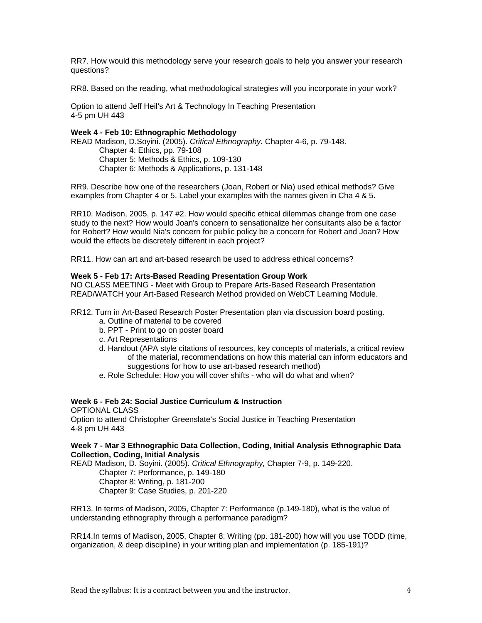RR7. How would this methodology serve your research goals to help you answer your research questions?

RR8. Based on the reading, what methodological strategies will you incorporate in your work?

Option to attend Jeff Heil's Art & Technology In Teaching Presentation 4-5 pm UH 443

## **Week 4 - Feb 10: Ethnographic Methodology**

READ Madison, D.Soyini. (2005). *Critical Ethnography.* Chapter 4-6, p. 79-148. Chapter 4: Ethics, pp. 79-108 Chapter 5: Methods & Ethics, p. 109-130 Chapter 6: Methods & Applications, p. 131-148

RR9. Describe how one of the researchers (Joan, Robert or Nia) used ethical methods? Give examples from Chapter 4 or 5. Label your examples with the names given in Cha 4 & 5.

RR10. Madison, 2005, p. 147 #2. How would specific ethical dilemmas change from one case study to the next? How would Joan's concern to sensationalize her consultants also be a factor for Robert? How would Nia's concern for public policy be a concern for Robert and Joan? How would the effects be discretely different in each project?

RR11. How can art and art-based research be used to address ethical concerns?

## **Week 5 - Feb 17: Arts-Based Reading Presentation Group Work**

NO CLASS MEETING - Meet with Group to Prepare Arts-Based Research Presentation READ/WATCH your Art-Based Research Method provided on WebCT Learning Module.

RR12. Turn in Art-Based Research Poster Presentation plan via discussion board posting.

- a. Outline of material to be covered
- b. PPT Print to go on poster board
- c. Art Representations
- d. Handout (APA style citations of resources, key concepts of materials, a critical review of the material, recommendations on how this material can inform educators and suggestions for how to use art-based research method)
- e. Role Schedule: How you will cover shifts who will do what and when?

## **Week 6 - Feb 24: Social Justice Curriculum & Instruction**

OPTIONAL CLASS Option to attend Christopher Greenslate's Social Justice in Teaching Presentation 4-8 pm UH 443

#### **Week 7 - Mar 3 Ethnographic Data Collection, Coding, Initial Analysis Ethnographic Data Collection, Coding, Initial Analysis**

READ Madison, D. Soyini. (2005). *Critical Ethnography,* Chapter 7-9, p. 149-220.

Chapter 7: Performance, p. 149-180

Chapter 8: Writing, p. 181-200 Chapter 9: Case Studies, p. 201-220

RR13. In terms of Madison, 2005, Chapter 7: Performance (p.149-180), what is the value of understanding ethnography through a performance paradigm?

RR14.In terms of Madison, 2005, Chapter 8: Writing (pp. 181-200) how will you use TODD (time, organization, & deep discipline) in your writing plan and implementation (p. 185-191)?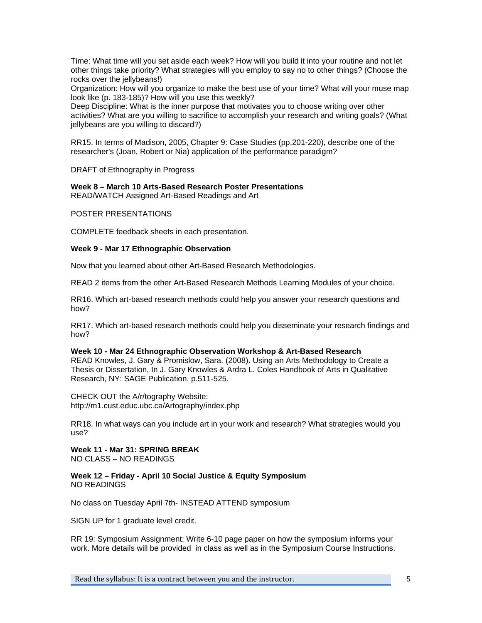Time: What time will you set aside each week? How will you build it into your routine and not let other things take priority? What strategies will you employ to say no to other things? (Choose the rocks over the jellybeans!)

Organization: How will you organize to make the best use of your time? What will your muse map look like (p. 183-185)? How will you use this weekly?

Deep Discipline: What is the inner purpose that motivates you to choose writing over other activities? What are you willing to sacrifice to accomplish your research and writing goals? (What jellybeans are you willing to discard?)

RR15. In terms of Madison, 2005, Chapter 9: Case Studies (pp.201-220), describe one of the researcher's (Joan, Robert or Nia) application of the performance paradigm?

DRAFT of Ethnography in Progress

## **Week 8 – March 10 Arts-Based Research Poster Presentations**

READ/WATCH Assigned Art-Based Readings and Art

## POSTER PRESENTATIONS

COMPLETE feedback sheets in each presentation.

## **Week 9 - Mar 17 Ethnographic Observation**

Now that you learned about other Art-Based Research Methodologies.

READ 2 items from the other Art-Based Research Methods Learning Modules of your choice.

RR16. Which art-based research methods could help you answer your research questions and how?

RR17. Which art-based research methods could help you disseminate your research findings and how?

#### **Week 10 - Mar 24 Ethnographic Observation Workshop & Art-Based Research**  READ Knowles, J. Gary & Promislow, Sara. (2008). Using an Arts Methodology to Create a Thesis or Dissertation, In J. Gary Knowles & Ardra L. Coles Handbook of Arts in Qualitative Research, NY: SAGE Publication, p.511-525.

CHECK OUT the A/r/tography Website: http://m1.cust.educ.ubc.ca/Artography/index.php

RR18. In what ways can you include art in your work and research? What strategies would you use?

**Week 11 - Mar 31: SPRING BREAK**  NO CLASS – NO READINGS

## **Week 12 – Friday - April 10 Social Justice & Equity Symposium**  NO READINGS

No class on Tuesday April 7th- INSTEAD ATTEND symposium

SIGN UP for 1 graduate level credit.

RR 19: Symposium Assignment; Write 6-10 page paper on how the symposium informs your work. More details will be provided in class as well as in the Symposium Course Instructions.

Read the syllabus: It is a contract between you and the instructor.  $5$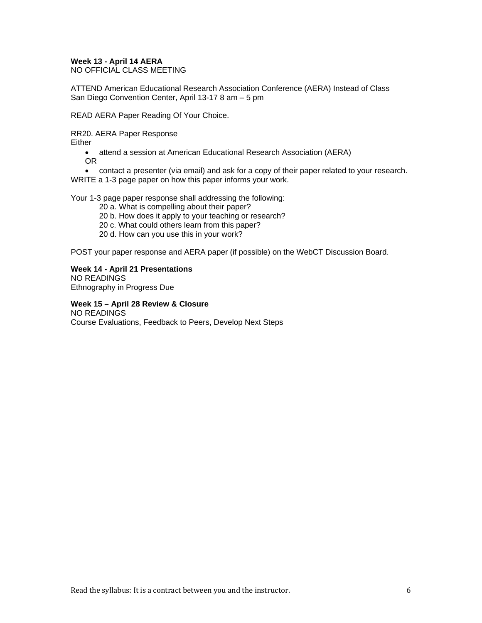## **Week 13 - April 14 AERA**

NO OFFICIAL CLASS MEETING

ATTEND American Educational Research Association Conference (AERA) Instead of Class San Diego Convention Center, April 13-17 8 am – 5 pm

READ AERA Paper Reading Of Your Choice.

RR20. AERA Paper Response

Either

• attend a session at American Educational Research Association (AERA) OR

• contact a presenter (via email) and ask for a copy of their paper related to your research. WRITE a 1-3 page paper on how this paper informs your work.

Your 1-3 page paper response shall addressing the following:

20 a. What is compelling about their paper?

20 b. How does it apply to your teaching or research?

20 c. What could others learn from this paper?

20 d. How can you use this in your work?

POST your paper response and AERA paper (if possible) on the WebCT Discussion Board.

**Week 14 - April 21 Presentations**  NO READINGS

Ethnography in Progress Due

 **Week 15 – April 28 Review & Closure**  NO READINGS Course Evaluations, Feedback to Peers, Develop Next Steps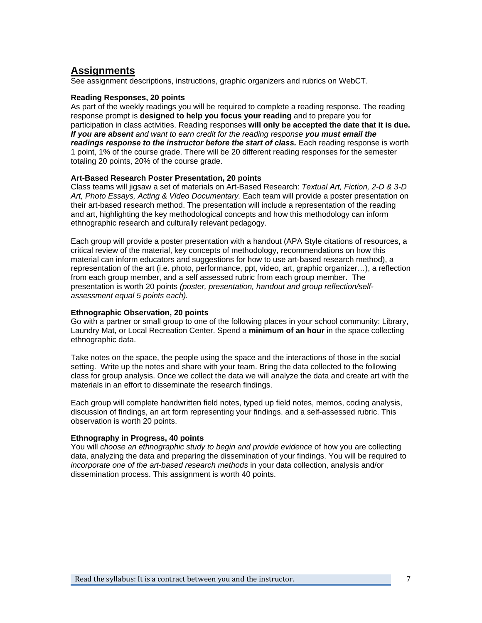## **Assignments**

See assignment descriptions, instructions, graphic organizers and rubrics on WebCT.

## **Reading Responses, 20 points**

As part of the weekly readings you will be required to complete a reading response. The reading response prompt is **designed to help you focus your reading** and to prepare you for participation in class activities. Reading responses **will only be accepted the date that it is due.**  *If you are absent and want to earn credit for the reading response you must email the readings response to the instructor before the start of class.* Each reading response is worth 1 point, 1% of the course grade. There will be 20 different reading responses for the semester totaling 20 points, 20% of the course grade.

#### **Art-Based Research Poster Presentation, 20 points**

Class teams will jigsaw a set of materials on Art-Based Research: *Textual Art, Fiction, 2-D & 3-D Art, Photo Essays, Acting & Video Documentary.* Each team will provide a poster presentation on their art-based research method. The presentation will include a representation of the reading and art, highlighting the key methodological concepts and how this methodology can inform ethnographic research and culturally relevant pedagogy.

 *assessment equal 5 points each).* Each group will provide a poster presentation with a handout (APA Style citations of resources, a critical review of the material, key concepts of methodology, recommendations on how this material can inform educators and suggestions for how to use art-based research method), a representation of the art (i.e. photo, performance, ppt, video, art, graphic organizer…), a reflection from each group member, and a self assessed rubric from each group member. The presentation is worth 20 points *(poster, presentation, handout and group reflection/self-*

#### **Ethnographic Observation, 20 points**

Go with a partner or small group to one of the following places in your school community: Library, Laundry Mat, or Local Recreation Center. Spend a **minimum of an hour** in the space collecting ethnographic data.

Take notes on the space, the people using the space and the interactions of those in the social setting. Write up the notes and share with your team. Bring the data collected to the following class for group analysis. Once we collect the data we will analyze the data and create art with the materials in an effort to disseminate the research findings.

Each group will complete handwritten field notes, typed up field notes, memos, coding analysis, discussion of findings, an art form representing your findings. and a self-assessed rubric. This observation is worth 20 points.

## **Ethnography in Progress, 40 points**

You will *choose an ethnographic study to begin and provide evidence* of how you are collecting data, analyzing the data and preparing the dissemination of your findings. You will be required to *incorporate one of the art-based research methods* in your data collection, analysis and/or dissemination process. This assignment is worth 40 points.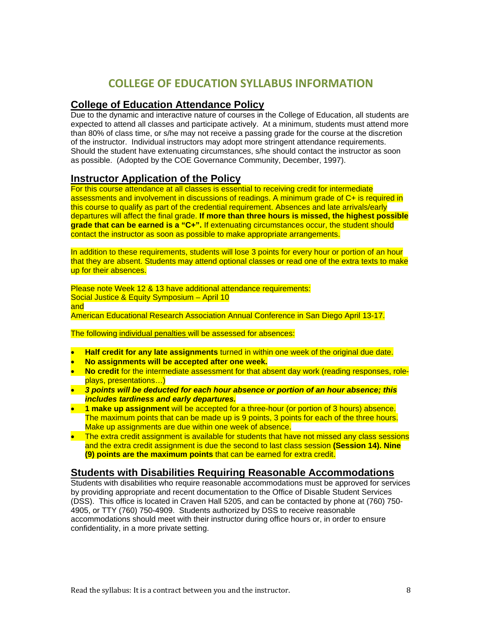# **COLLEGE OF EDUCATION SYLLABUS INFORMATION**

## **College of Education Attendance Policy**

Due to the dynamic and interactive nature of courses in the College of Education, all students are expected to attend all classes and participate actively. At a minimum, students must attend more than 80% of class time, or s/he may not receive a passing grade for the course at the discretion of the instructor. Individual instructors may adopt more stringent attendance requirements. Should the student have extenuating circumstances, s/he should contact the instructor as soon as possible. (Adopted by the COE Governance Community, December, 1997).

# **Instructor Application of the Policy**

For this course attendance at all classes is essential to receiving credit for intermediate assessments and involvement in discussions of readings. A minimum grade of C+ is required in this course to qualify as part of the credential requirement. Absences and late arrivals/early departures will affect the final grade. **If more than three hours is missed, the highest possible grade that can be earned is a "C+".** If extenuating circumstances occur, the student should contact the instructor as soon as possible to make appropriate arrangements.

In addition to these requirements, students will lose 3 points for every hour or portion of an hour that they are absent. Students may attend optional classes or read one of the extra texts to make up for their absences.

Please note Week 12 & 13 have additional attendance requirements: Social Justice & Equity Symposium – April 10 and American Educational Research Association Annual Conference in San Diego April 13-17.

The following individual penalties will be assessed for absences:

- • **Half credit for any late assignments** turned in within one week of the original due date.
- **No assignments will be accepted after one week.**
- No credit for the intermediate assessment for that absent day work (reading responses, roleplays, presentations…)
- • *3 points will be deducted for each hour absence or portion of an hour absence; this includes tardiness and early departures.*
- • **1 make up assignment** will be accepted for a three-hour (or portion of 3 hours) absence. The maximum points that can be made up is 9 points, 3 points for each of the three hours. Make up assignments are due within one week of absence.
- $\bullet$  The extra credit assignment is available for students that have not missed any class sessions and the extra credit assignment is due the second to last class session **(Session 14). Nine (9) points are the maximum points** that can be earned for extra credit.

# **Students with Disabilities Requiring Reasonable Accommodations**

Students with disabilities who require reasonable accommodations must be approved for services by providing appropriate and recent documentation to the Office of Disable Student Services (DSS). This office is located in Craven Hall 5205, and can be contacted by phone at (760) 750- 4905, or TTY (760) 750-4909. Students authorized by DSS to receive reasonable accommodations should meet with their instructor during office hours or, in order to ensure confidentiality, in a more private setting.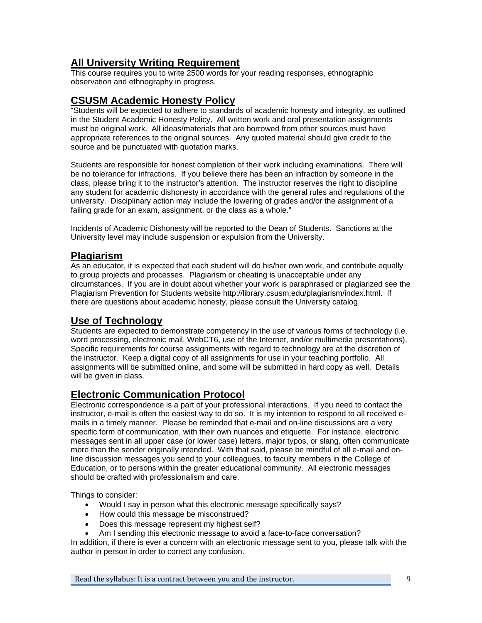# **All University Writing Requirement**

This course requires you to write 2500 words for your reading responses, ethnographic observation and ethnography in progress.

# **CSUSM Academic Honesty Policy**

**EXPERITE IN EXPERITMENT CONTROLLY TRANSPORT CONTROLLY STANDED IN EXPERITION** SUPPORTS "Students will be expected to adhere to standards of academic honesty and integrity, as outlined in the Student Academic Honesty Policy. All written work and oral presentation assignments must be original work. All ideas/materials that are borrowed from other sources must have appropriate references to the original sources. Any quoted material should give credit to the source and be punctuated with quotation marks.

Students are responsible for honest completion of their work including examinations. There will be no tolerance for infractions. If you believe there has been an infraction by someone in the class, please bring it to the instructor's attention. The instructor reserves the right to discipline any student for academic dishonesty in accordance with the general rules and regulations of the university. Disciplinary action may include the lowering of grades and/or the assignment of a failing grade for an exam, assignment, or the class as a whole."

Incidents of Academic Dishonesty will be reported to the Dean of Students. Sanctions at the University level may include suspension or expulsion from the University.

# **Plagiarism**

As an educator, it is expected that each student will do his/her own work, and contribute equally to group projects and processes. Plagiarism or cheating is unacceptable under any circumstances. If you are in doubt about whether your work is paraphrased or plagiarized see the Plagiarism Prevention for Students website http://library.csusm.edu/plagiarism/index.html. If there are questions about academic honesty, please consult the University catalog.

# **Use of Technology**

Students are expected to demonstrate competency in the use of various forms of technology (i.e. word processing, electronic mail, WebCT6, use of the Internet, and/or multimedia presentations). Specific requirements for course assignments with regard to technology are at the discretion of the instructor. Keep a digital copy of all assignments for use in your teaching portfolio. All assignments will be submitted online, and some will be submitted in hard copy as well. Details will be given in class.

# **Electronic Communication Protocol**

Electronic correspondence is a part of your professional interactions. If you need to contact the instructor, e-mail is often the easiest way to do so. It is my intention to respond to all received emails in a timely manner. Please be reminded that e-mail and on-line discussions are a very specific form of communication, with their own nuances and etiquette. For instance, electronic messages sent in all upper case (or lower case) letters, major typos, or slang, often communicate more than the sender originally intended. With that said, please be mindful of all e-mail and online discussion messages you send to your colleagues, to faculty members in the College of Education, or to persons within the greater educational community. All electronic messages should be crafted with professionalism and care.

Things to consider:

- Would I say in person what this electronic message specifically says?
- How could this message be misconstrued?
- Does this message represent my highest self?
- Am I sending this electronic message to avoid a face-to-face conversation?

In addition, if there is ever a concern with an electronic message sent to you, please talk with the author in person in order to correct any confusion.

Read the syllabus: It is a contract between you and the instructor. 9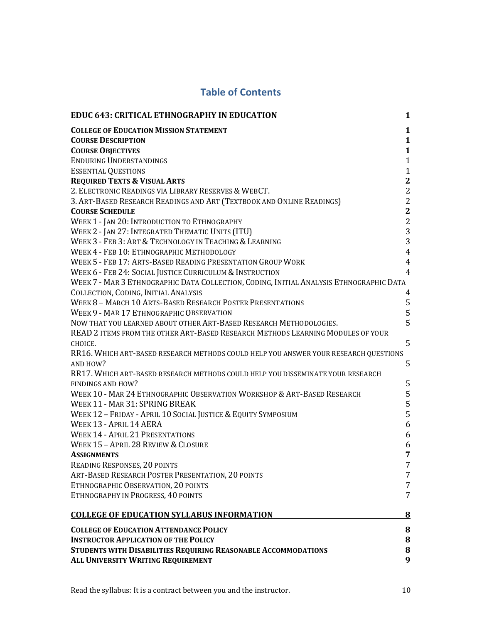| <b>EDUC 643: CRITICAL ETHNOGRAPHY IN EDUCATION</b>                                      | 1              |
|-----------------------------------------------------------------------------------------|----------------|
| <b>COLLEGE OF EDUCATION MISSION STATEMENT</b>                                           | 1              |
| <b>COURSE DESCRIPTION</b>                                                               | $\mathbf{1}$   |
| <b>COURSE OBJECTIVES</b>                                                                | $\mathbf{1}$   |
| <b>ENDURING UNDERSTANDINGS</b>                                                          | $\mathbf{1}$   |
| <b>ESSENTIAL QUESTIONS</b>                                                              | $\mathbf{1}$   |
| <b>REQUIRED TEXTS &amp; VISUAL ARTS</b>                                                 | $\mathbf{2}$   |
| 2. ELECTRONIC READINGS VIA LIBRARY RESERVES & WEBCT.                                    | $\overline{2}$ |
| 3. ART-BASED RESEARCH READINGS AND ART (TEXTBOOK AND ONLINE READINGS)                   | $\sqrt{2}$     |
| <b>COURSE SCHEDULE</b>                                                                  | $\overline{2}$ |
| WEEK 1 - JAN 20: INTRODUCTION TO ETHNOGRAPHY                                            | $\overline{2}$ |
| WEEK 2 - JAN 27: INTEGRATED THEMATIC UNITS (ITU)                                        | 3              |
| WEEK 3 - FEB 3: ART & TECHNOLOGY IN TEACHING & LEARNING                                 | 3              |
| WEEK 4 - FEB 10: ETHNOGRAPHIC METHODOLOGY                                               | $\overline{4}$ |
| WEEK 5 - FEB 17: ARTS-BASED READING PRESENTATION GROUP WORK                             | $\overline{4}$ |
| WEEK 6 - FEB 24: SOCIAL JUSTICE CURRICULUM & INSTRUCTION                                | $\overline{4}$ |
| WEEK 7 - MAR 3 ETHNOGRAPHIC DATA COLLECTION, CODING, INITIAL ANALYSIS ETHNOGRAPHIC DATA |                |
| COLLECTION, CODING, INITIAL ANALYSIS                                                    | 4              |
| WEEK 8 - MARCH 10 ARTS-BASED RESEARCH POSTER PRESENTATIONS                              | 5              |
| WEEK 9 - MAR 17 ETHNOGRAPHIC OBSERVATION                                                | 5              |
| NOW THAT YOU LEARNED ABOUT OTHER ART-BASED RESEARCH METHODOLOGIES.                      | 5              |
| READ 2 ITEMS FROM THE OTHER ART-BASED RESEARCH METHODS LEARNING MODULES OF YOUR         |                |
| CHOICE.                                                                                 | 5              |
| RR16. WHICH ART-BASED RESEARCH METHODS COULD HELP YOU ANSWER YOUR RESEARCH QUESTIONS    |                |
| AND HOW?                                                                                | 5              |
| RR17. WHICH ART-BASED RESEARCH METHODS COULD HELP YOU DISSEMINATE YOUR RESEARCH         |                |
| FINDINGS AND HOW?                                                                       | 5              |
| WEEK 10 - MAR 24 ETHNOGRAPHIC OBSERVATION WORKSHOP & ART-BASED RESEARCH                 | 5              |
| WEEK 11 - MAR 31: SPRING BREAK                                                          | 5              |
| WEEK 12 - FRIDAY - APRIL 10 SOCIAL JUSTICE & EQUITY SYMPOSIUM                           | 5              |
| WEEK 13 - APRIL 14 AERA                                                                 | 6              |
| <b>WEEK 14 - APRIL 21 PRESENTATIONS</b>                                                 | 6              |
| WEEK 15 - APRIL 28 REVIEW & CLOSURE                                                     | 6              |
| <b>ASSIGNMENTS</b>                                                                      | 7              |
| READING RESPONSES, 20 POINTS                                                            | 7              |
| ART-BASED RESEARCH POSTER PRESENTATION, 20 POINTS                                       | 7              |
| ETHNOGRAPHIC OBSERVATION, 20 POINTS                                                     | 7              |
| ETHNOGRAPHY IN PROGRESS, 40 POINTS                                                      | 7              |
| <b>COLLEGE OF EDUCATION SYLLABUS INFORMATION</b>                                        | <u>8</u>       |
| <b>COLLEGE OF EDUCATION ATTENDANCE POLICY</b>                                           | 8              |
| <b>INSTRUCTOR APPLICATION OF THE POLICY</b>                                             | 8              |
| STUDENTS WITH DISABILITIES REQUIRING REASONABLE ACCOMMODATIONS                          | 8              |
| ALL UNIVERSITY WRITING REQUIREMENT                                                      | 9              |

# **Table of Contents**